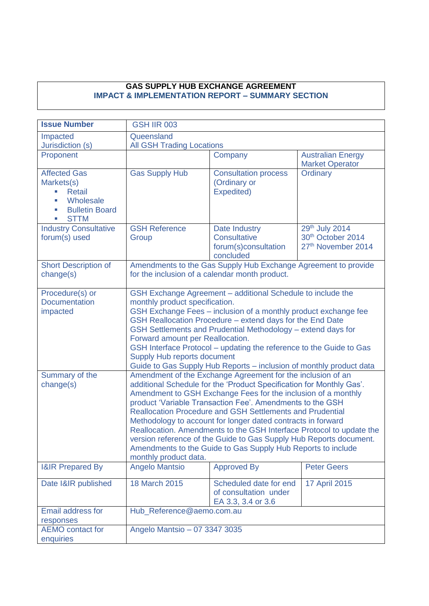#### **GAS SUPPLY HUB EXCHANGE AGREEMENT IMPACT & IMPLEMENTATION REPORT – SUMMARY SECTION**

| <b>Issue Number</b>                                                                                                 | <b>GSH IIR 003</b>                                                                                                         |                                                                                                                                                                                                                                                                                                                                                                                                                                                                                                                                                                                                                                                                                                                                                                                                                                                                                                                                                                                                                                  |                                                                                   |
|---------------------------------------------------------------------------------------------------------------------|----------------------------------------------------------------------------------------------------------------------------|----------------------------------------------------------------------------------------------------------------------------------------------------------------------------------------------------------------------------------------------------------------------------------------------------------------------------------------------------------------------------------------------------------------------------------------------------------------------------------------------------------------------------------------------------------------------------------------------------------------------------------------------------------------------------------------------------------------------------------------------------------------------------------------------------------------------------------------------------------------------------------------------------------------------------------------------------------------------------------------------------------------------------------|-----------------------------------------------------------------------------------|
| Impacted<br>Jurisdiction (s)                                                                                        | Queensland<br><b>All GSH Trading Locations</b>                                                                             |                                                                                                                                                                                                                                                                                                                                                                                                                                                                                                                                                                                                                                                                                                                                                                                                                                                                                                                                                                                                                                  |                                                                                   |
| Proponent                                                                                                           |                                                                                                                            | Company                                                                                                                                                                                                                                                                                                                                                                                                                                                                                                                                                                                                                                                                                                                                                                                                                                                                                                                                                                                                                          | <b>Australian Energy</b><br><b>Market Operator</b>                                |
| <b>Affected Gas</b><br>Markets(s)<br><b>Retail</b><br>I.<br>Wholesale<br><b>Bulletin Board</b><br><b>STTM</b><br>×. | <b>Gas Supply Hub</b>                                                                                                      | <b>Consultation process</b><br>(Ordinary or<br>Expedited)                                                                                                                                                                                                                                                                                                                                                                                                                                                                                                                                                                                                                                                                                                                                                                                                                                                                                                                                                                        | Ordinary                                                                          |
| <b>Industry Consultative</b><br>forum(s) used                                                                       | <b>GSH Reference</b><br>Group                                                                                              | Date Industry<br><b>Consultative</b><br>forum(s)consultation<br>concluded                                                                                                                                                                                                                                                                                                                                                                                                                                                                                                                                                                                                                                                                                                                                                                                                                                                                                                                                                        | 29th July 2014<br>30 <sup>th</sup> October 2014<br>27 <sup>th</sup> November 2014 |
| <b>Short Description of</b><br>change(s)                                                                            | for the inclusion of a calendar month product.                                                                             | Amendments to the Gas Supply Hub Exchange Agreement to provide                                                                                                                                                                                                                                                                                                                                                                                                                                                                                                                                                                                                                                                                                                                                                                                                                                                                                                                                                                   |                                                                                   |
| Procedure(s) or<br><b>Documentation</b><br>impacted<br>Summary of the<br>change(s)                                  | monthly product specification.<br>Forward amount per Reallocation.<br>Supply Hub reports document<br>monthly product data. | GSH Exchange Agreement - additional Schedule to include the<br>GSH Exchange Fees - inclusion of a monthly product exchange fee<br>GSH Reallocation Procedure - extend days for the End Date<br>GSH Settlements and Prudential Methodology - extend days for<br>GSH Interface Protocol - updating the reference to the Guide to Gas<br>Guide to Gas Supply Hub Reports - inclusion of monthly product data<br>Amendment of the Exchange Agreement for the inclusion of an<br>additional Schedule for the 'Product Specification for Monthly Gas'.<br>Amendment to GSH Exchange Fees for the inclusion of a monthly<br>product 'Variable Transaction Fee'. Amendments to the GSH<br><b>Reallocation Procedure and GSH Settlements and Prudential</b><br>Methodology to account for longer dated contracts in forward<br>Reallocation. Amendments to the GSH Interface Protocol to update the<br>version reference of the Guide to Gas Supply Hub Reports document.<br>Amendments to the Guide to Gas Supply Hub Reports to include |                                                                                   |
| <b>I&amp;IR Prepared By</b>                                                                                         | <b>Angelo Mantsio</b>                                                                                                      | <b>Approved By</b>                                                                                                                                                                                                                                                                                                                                                                                                                                                                                                                                                                                                                                                                                                                                                                                                                                                                                                                                                                                                               | <b>Peter Geers</b>                                                                |
| Date I&IR published                                                                                                 | 18 March 2015                                                                                                              | Scheduled date for end<br>of consultation under<br>EA 3.3, 3.4 or 3.6                                                                                                                                                                                                                                                                                                                                                                                                                                                                                                                                                                                                                                                                                                                                                                                                                                                                                                                                                            | 17 April 2015                                                                     |
| <b>Email address for</b><br>responses                                                                               | Hub Reference@aemo.com.au                                                                                                  |                                                                                                                                                                                                                                                                                                                                                                                                                                                                                                                                                                                                                                                                                                                                                                                                                                                                                                                                                                                                                                  |                                                                                   |
| <b>AEMO</b> contact for<br>enquiries                                                                                | Angelo Mantsio - 07 3347 3035                                                                                              |                                                                                                                                                                                                                                                                                                                                                                                                                                                                                                                                                                                                                                                                                                                                                                                                                                                                                                                                                                                                                                  |                                                                                   |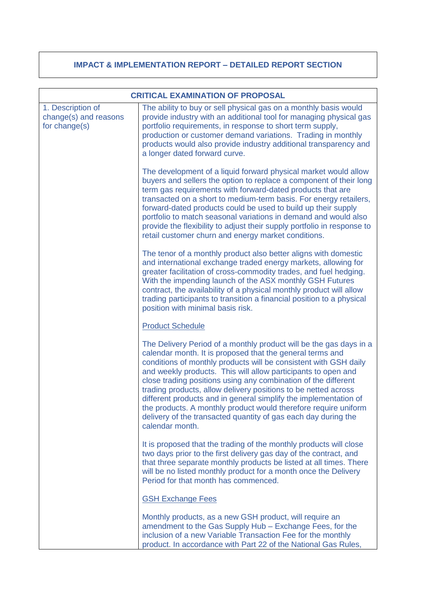### **IMPACT & IMPLEMENTATION REPORT – DETAILED REPORT SECTION**

|                                                             | <b>CRITICAL EXAMINATION OF PROPOSAL</b>                                                                                                                                                                                                                                                                                                                                                                                                                                                                                                                                                                                              |
|-------------------------------------------------------------|--------------------------------------------------------------------------------------------------------------------------------------------------------------------------------------------------------------------------------------------------------------------------------------------------------------------------------------------------------------------------------------------------------------------------------------------------------------------------------------------------------------------------------------------------------------------------------------------------------------------------------------|
| 1. Description of<br>change(s) and reasons<br>for change(s) | The ability to buy or sell physical gas on a monthly basis would<br>provide industry with an additional tool for managing physical gas<br>portfolio requirements, in response to short term supply,<br>production or customer demand variations. Trading in monthly<br>products would also provide industry additional transparency and<br>a longer dated forward curve.                                                                                                                                                                                                                                                             |
|                                                             | The development of a liquid forward physical market would allow<br>buyers and sellers the option to replace a component of their long<br>term gas requirements with forward-dated products that are<br>transacted on a short to medium-term basis. For energy retailers,<br>forward-dated products could be used to build up their supply<br>portfolio to match seasonal variations in demand and would also<br>provide the flexibility to adjust their supply portfolio in response to<br>retail customer churn and energy market conditions.                                                                                       |
|                                                             | The tenor of a monthly product also better aligns with domestic<br>and international exchange traded energy markets, allowing for<br>greater facilitation of cross-commodity trades, and fuel hedging.<br>With the impending launch of the ASX monthly GSH Futures<br>contract, the availability of a physical monthly product will allow<br>trading participants to transition a financial position to a physical<br>position with minimal basis risk.                                                                                                                                                                              |
|                                                             | <b>Product Schedule</b>                                                                                                                                                                                                                                                                                                                                                                                                                                                                                                                                                                                                              |
|                                                             | The Delivery Period of a monthly product will be the gas days in a<br>calendar month. It is proposed that the general terms and<br>conditions of monthly products will be consistent with GSH daily<br>and weekly products. This will allow participants to open and<br>close trading positions using any combination of the different<br>trading products, allow delivery positions to be netted across<br>different products and in general simplify the implementation of<br>the products. A monthly product would therefore require uniform<br>delivery of the transacted quantity of gas each day during the<br>calendar month. |
|                                                             | It is proposed that the trading of the monthly products will close<br>two days prior to the first delivery gas day of the contract, and<br>that three separate monthly products be listed at all times. There<br>will be no listed monthly product for a month once the Delivery<br>Period for that month has commenced.                                                                                                                                                                                                                                                                                                             |
|                                                             | <b>GSH Exchange Fees</b>                                                                                                                                                                                                                                                                                                                                                                                                                                                                                                                                                                                                             |
|                                                             | Monthly products, as a new GSH product, will require an<br>amendment to the Gas Supply Hub - Exchange Fees, for the<br>inclusion of a new Variable Transaction Fee for the monthly<br>product. In accordance with Part 22 of the National Gas Rules,                                                                                                                                                                                                                                                                                                                                                                                 |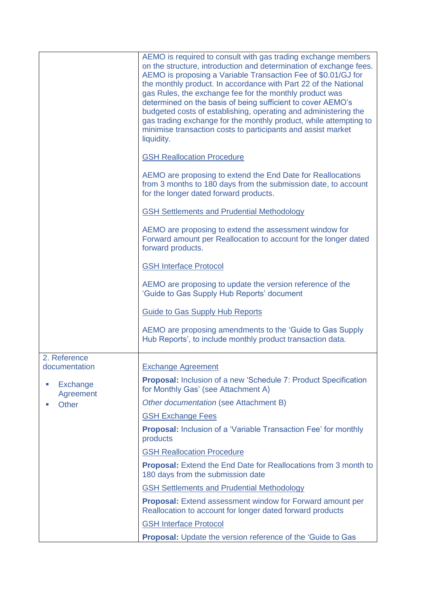|                               | AEMO is required to consult with gas trading exchange members<br>on the structure, introduction and determination of exchange fees.<br>AEMO is proposing a Variable Transaction Fee of \$0.01/GJ for<br>the monthly product. In accordance with Part 22 of the National<br>gas Rules, the exchange fee for the monthly product was<br>determined on the basis of being sufficient to cover AEMO's<br>budgeted costs of establishing, operating and administering the<br>gas trading exchange for the monthly product, while attempting to<br>minimise transaction costs to participants and assist market<br>liquidity. |
|-------------------------------|-------------------------------------------------------------------------------------------------------------------------------------------------------------------------------------------------------------------------------------------------------------------------------------------------------------------------------------------------------------------------------------------------------------------------------------------------------------------------------------------------------------------------------------------------------------------------------------------------------------------------|
|                               | <b>GSH Reallocation Procedure</b>                                                                                                                                                                                                                                                                                                                                                                                                                                                                                                                                                                                       |
|                               | AEMO are proposing to extend the End Date for Reallocations<br>from 3 months to 180 days from the submission date, to account<br>for the longer dated forward products.                                                                                                                                                                                                                                                                                                                                                                                                                                                 |
|                               | <b>GSH Settlements and Prudential Methodology</b>                                                                                                                                                                                                                                                                                                                                                                                                                                                                                                                                                                       |
|                               | AEMO are proposing to extend the assessment window for<br>Forward amount per Reallocation to account for the longer dated<br>forward products.                                                                                                                                                                                                                                                                                                                                                                                                                                                                          |
|                               | <b>GSH Interface Protocol</b>                                                                                                                                                                                                                                                                                                                                                                                                                                                                                                                                                                                           |
|                               | AEMO are proposing to update the version reference of the<br>'Guide to Gas Supply Hub Reports' document                                                                                                                                                                                                                                                                                                                                                                                                                                                                                                                 |
|                               | <b>Guide to Gas Supply Hub Reports</b>                                                                                                                                                                                                                                                                                                                                                                                                                                                                                                                                                                                  |
|                               | AEMO are proposing amendments to the 'Guide to Gas Supply<br>Hub Reports', to include monthly product transaction data.                                                                                                                                                                                                                                                                                                                                                                                                                                                                                                 |
| 2. Reference<br>documentation | <b>Exchange Agreement</b>                                                                                                                                                                                                                                                                                                                                                                                                                                                                                                                                                                                               |
| Exchange<br>Agreement         | <b>Proposal:</b> Inclusion of a new 'Schedule 7: Product Specification<br>for Monthly Gas' (see Attachment A)                                                                                                                                                                                                                                                                                                                                                                                                                                                                                                           |
| <b>Other</b>                  | Other documentation (see Attachment B)                                                                                                                                                                                                                                                                                                                                                                                                                                                                                                                                                                                  |
|                               | <b>GSH Exchange Fees</b>                                                                                                                                                                                                                                                                                                                                                                                                                                                                                                                                                                                                |
|                               | <b>Proposal:</b> Inclusion of a 'Variable Transaction Fee' for monthly<br>products                                                                                                                                                                                                                                                                                                                                                                                                                                                                                                                                      |
|                               | <b>GSH Reallocation Procedure</b>                                                                                                                                                                                                                                                                                                                                                                                                                                                                                                                                                                                       |
|                               | <b>Proposal:</b> Extend the End Date for Reallocations from 3 month to<br>180 days from the submission date                                                                                                                                                                                                                                                                                                                                                                                                                                                                                                             |
|                               | <b>GSH Settlements and Prudential Methodology</b>                                                                                                                                                                                                                                                                                                                                                                                                                                                                                                                                                                       |
|                               | <b>Proposal:</b> Extend assessment window for Forward amount per<br>Reallocation to account for longer dated forward products                                                                                                                                                                                                                                                                                                                                                                                                                                                                                           |
|                               | <b>GSH Interface Protocol</b>                                                                                                                                                                                                                                                                                                                                                                                                                                                                                                                                                                                           |
|                               | <b>Proposal:</b> Update the version reference of the 'Guide to Gas                                                                                                                                                                                                                                                                                                                                                                                                                                                                                                                                                      |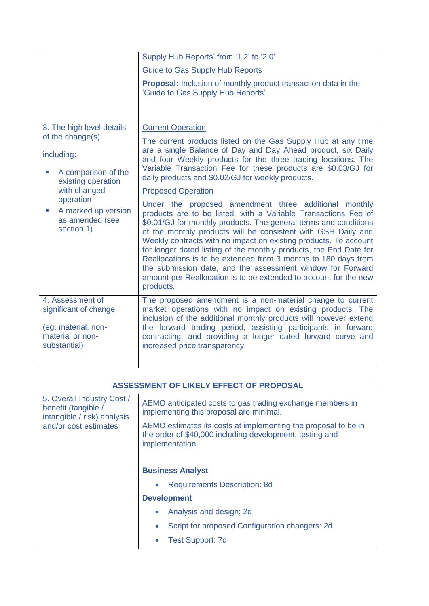|                                                                                                      | Supply Hub Reports' from '1.2' to '2.0'                                                                                                                                                                                                                                                                                                                                                                                                                                                                                                                                                                                 |
|------------------------------------------------------------------------------------------------------|-------------------------------------------------------------------------------------------------------------------------------------------------------------------------------------------------------------------------------------------------------------------------------------------------------------------------------------------------------------------------------------------------------------------------------------------------------------------------------------------------------------------------------------------------------------------------------------------------------------------------|
|                                                                                                      | <b>Guide to Gas Supply Hub Reports</b>                                                                                                                                                                                                                                                                                                                                                                                                                                                                                                                                                                                  |
|                                                                                                      | <b>Proposal:</b> Inclusion of monthly product transaction data in the<br>'Guide to Gas Supply Hub Reports'                                                                                                                                                                                                                                                                                                                                                                                                                                                                                                              |
| 3. The high level details                                                                            | <b>Current Operation</b>                                                                                                                                                                                                                                                                                                                                                                                                                                                                                                                                                                                                |
| of the change(s)                                                                                     | The current products listed on the Gas Supply Hub at any time                                                                                                                                                                                                                                                                                                                                                                                                                                                                                                                                                           |
| including:                                                                                           | are a single Balance of Day and Day Ahead product, six Daily<br>and four Weekly products for the three trading locations. The                                                                                                                                                                                                                                                                                                                                                                                                                                                                                           |
| A comparison of the<br>existing operation                                                            | Variable Transaction Fee for these products are \$0.03/GJ for<br>daily products and \$0.02/GJ for weekly products.                                                                                                                                                                                                                                                                                                                                                                                                                                                                                                      |
| with changed                                                                                         | <b>Proposed Operation</b>                                                                                                                                                                                                                                                                                                                                                                                                                                                                                                                                                                                               |
| operation<br>A marked up version<br>as amended (see<br>section 1)                                    | Under the proposed amendment three additional monthly<br>products are to be listed, with a Variable Transactions Fee of<br>\$0.01/GJ for monthly products. The general terms and conditions<br>of the monthly products will be consistent with GSH Daily and<br>Weekly contracts with no impact on existing products. To account<br>for longer dated listing of the monthly products, the End Date for<br>Reallocations is to be extended from 3 months to 180 days from<br>the submission date, and the assessment window for Forward<br>amount per Reallocation is to be extended to account for the new<br>products. |
| 4. Assessment of<br>significant of change<br>(eg: material, non-<br>material or non-<br>substantial) | The proposed amendment is a non-material change to current<br>market operations with no impact on existing products. The<br>inclusion of the additional monthly products will however extend<br>the forward trading period, assisting participants in forward<br>contracting, and providing a longer dated forward curve and<br>increased price transparency.                                                                                                                                                                                                                                                           |
|                                                                                                      |                                                                                                                                                                                                                                                                                                                                                                                                                                                                                                                                                                                                                         |

| ASSESSMENT OF LIKELY EFFECT OF PROPOSAL                                                                   |                                                                                                                                               |  |
|-----------------------------------------------------------------------------------------------------------|-----------------------------------------------------------------------------------------------------------------------------------------------|--|
| 5. Overall Industry Cost /<br>benefit (tangible /<br>intangible / risk) analysis<br>and/or cost estimates | AEMO anticipated costs to gas trading exchange members in<br>implementing this proposal are minimal.                                          |  |
|                                                                                                           | AEMO estimates its costs at implementing the proposal to be in<br>the order of \$40,000 including development, testing and<br>implementation. |  |
|                                                                                                           | <b>Business Analyst</b>                                                                                                                       |  |
|                                                                                                           | <b>Requirements Description: 8d</b>                                                                                                           |  |
|                                                                                                           | <b>Development</b>                                                                                                                            |  |
|                                                                                                           | Analysis and design: 2d                                                                                                                       |  |
|                                                                                                           | Script for proposed Configuration changers: 2d<br>$\bullet$                                                                                   |  |
|                                                                                                           | <b>Test Support: 7d</b>                                                                                                                       |  |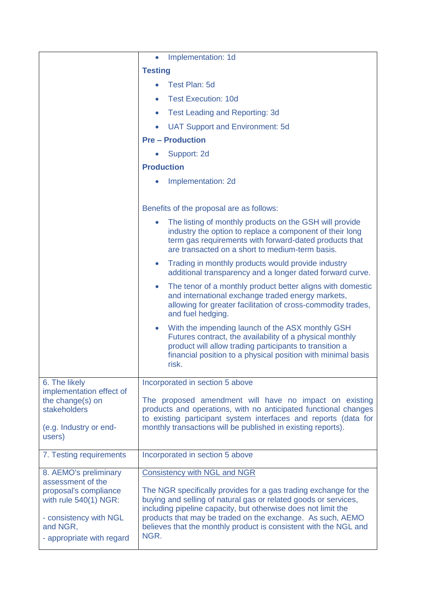|                                                                                                                                                                 | Implementation: 1d<br>$\bullet$                                                                                                                                                                                                                                                                                                                                                       |
|-----------------------------------------------------------------------------------------------------------------------------------------------------------------|---------------------------------------------------------------------------------------------------------------------------------------------------------------------------------------------------------------------------------------------------------------------------------------------------------------------------------------------------------------------------------------|
|                                                                                                                                                                 | <b>Testing</b>                                                                                                                                                                                                                                                                                                                                                                        |
|                                                                                                                                                                 | Test Plan: 5d                                                                                                                                                                                                                                                                                                                                                                         |
|                                                                                                                                                                 | <b>Test Execution: 10d</b>                                                                                                                                                                                                                                                                                                                                                            |
|                                                                                                                                                                 | <b>Test Leading and Reporting: 3d</b><br>$\bullet$                                                                                                                                                                                                                                                                                                                                    |
|                                                                                                                                                                 | <b>UAT Support and Environment: 5d</b>                                                                                                                                                                                                                                                                                                                                                |
|                                                                                                                                                                 | <b>Pre - Production</b>                                                                                                                                                                                                                                                                                                                                                               |
|                                                                                                                                                                 | Support: 2d                                                                                                                                                                                                                                                                                                                                                                           |
|                                                                                                                                                                 | <b>Production</b>                                                                                                                                                                                                                                                                                                                                                                     |
|                                                                                                                                                                 | Implementation: 2d                                                                                                                                                                                                                                                                                                                                                                    |
|                                                                                                                                                                 |                                                                                                                                                                                                                                                                                                                                                                                       |
|                                                                                                                                                                 | Benefits of the proposal are as follows:                                                                                                                                                                                                                                                                                                                                              |
|                                                                                                                                                                 | The listing of monthly products on the GSH will provide<br>industry the option to replace a component of their long<br>term gas requirements with forward-dated products that<br>are transacted on a short to medium-term basis.                                                                                                                                                      |
|                                                                                                                                                                 | Trading in monthly products would provide industry<br>$\bullet$<br>additional transparency and a longer dated forward curve.                                                                                                                                                                                                                                                          |
|                                                                                                                                                                 | The tenor of a monthly product better aligns with domestic<br>$\bullet$<br>and international exchange traded energy markets,<br>allowing for greater facilitation of cross-commodity trades,<br>and fuel hedging.                                                                                                                                                                     |
|                                                                                                                                                                 | With the impending launch of the ASX monthly GSH<br>$\bullet$<br>Futures contract, the availability of a physical monthly<br>product will allow trading participants to transition a<br>financial position to a physical position with minimal basis<br>risk.                                                                                                                         |
| 6. The likely                                                                                                                                                   | Incorporated in section 5 above                                                                                                                                                                                                                                                                                                                                                       |
| implementation effect of<br>the change(s) on<br>stakeholders<br>(e.g. Industry or end-<br>users)                                                                | The proposed amendment will have no impact on existing<br>products and operations, with no anticipated functional changes<br>to existing participant system interfaces and reports (data for<br>monthly transactions will be published in existing reports).                                                                                                                          |
| 7. Testing requirements                                                                                                                                         | Incorporated in section 5 above                                                                                                                                                                                                                                                                                                                                                       |
| 8. AEMO's preliminary<br>assessment of the<br>proposal's compliance<br>with rule 540(1) NGR:<br>- consistency with NGL<br>and NGR,<br>- appropriate with regard | <b>Consistency with NGL and NGR</b><br>The NGR specifically provides for a gas trading exchange for the<br>buying and selling of natural gas or related goods or services,<br>including pipeline capacity, but otherwise does not limit the<br>products that may be traded on the exchange. As such, AEMO<br>believes that the monthly product is consistent with the NGL and<br>NGR. |
|                                                                                                                                                                 |                                                                                                                                                                                                                                                                                                                                                                                       |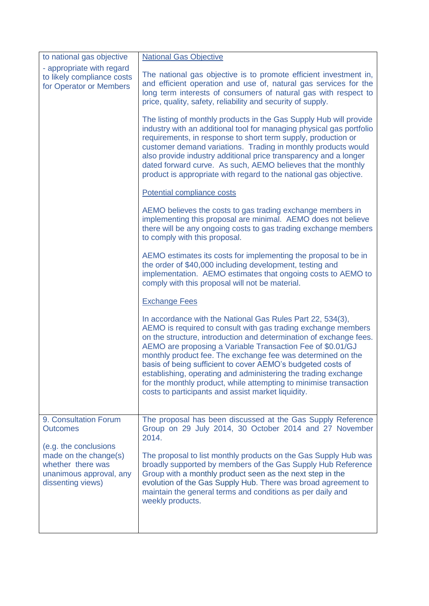| to national gas objective                                                                                           | <b>National Gas Objective</b>                                                                                                                                                                                                                                                                                                                                                                                                                                                                                                                                                              |
|---------------------------------------------------------------------------------------------------------------------|--------------------------------------------------------------------------------------------------------------------------------------------------------------------------------------------------------------------------------------------------------------------------------------------------------------------------------------------------------------------------------------------------------------------------------------------------------------------------------------------------------------------------------------------------------------------------------------------|
| - appropriate with regard<br>to likely compliance costs<br>for Operator or Members                                  | The national gas objective is to promote efficient investment in,<br>and efficient operation and use of, natural gas services for the<br>long term interests of consumers of natural gas with respect to<br>price, quality, safety, reliability and security of supply.                                                                                                                                                                                                                                                                                                                    |
|                                                                                                                     | The listing of monthly products in the Gas Supply Hub will provide<br>industry with an additional tool for managing physical gas portfolio<br>requirements, in response to short term supply, production or<br>customer demand variations. Trading in monthly products would<br>also provide industry additional price transparency and a longer<br>dated forward curve. As such, AEMO believes that the monthly<br>product is appropriate with regard to the national gas objective.                                                                                                      |
|                                                                                                                     | Potential compliance costs                                                                                                                                                                                                                                                                                                                                                                                                                                                                                                                                                                 |
|                                                                                                                     | AEMO believes the costs to gas trading exchange members in<br>implementing this proposal are minimal. AEMO does not believe<br>there will be any ongoing costs to gas trading exchange members<br>to comply with this proposal.                                                                                                                                                                                                                                                                                                                                                            |
|                                                                                                                     | AEMO estimates its costs for implementing the proposal to be in<br>the order of \$40,000 including development, testing and<br>implementation. AEMO estimates that ongoing costs to AEMO to<br>comply with this proposal will not be material.                                                                                                                                                                                                                                                                                                                                             |
|                                                                                                                     | <b>Exchange Fees</b>                                                                                                                                                                                                                                                                                                                                                                                                                                                                                                                                                                       |
|                                                                                                                     | In accordance with the National Gas Rules Part 22, 534(3),<br>AEMO is required to consult with gas trading exchange members<br>on the structure, introduction and determination of exchange fees.<br>AEMO are proposing a Variable Transaction Fee of \$0.01/GJ<br>monthly product fee. The exchange fee was determined on the<br>basis of being sufficient to cover AEMO's budgeted costs of<br>establishing, operating and administering the trading exchange<br>for the monthly product, while attempting to minimise transaction<br>costs to participants and assist market liquidity. |
| 9. Consultation Forum<br><b>Outcomes</b>                                                                            | The proposal has been discussed at the Gas Supply Reference<br>Group on 29 July 2014, 30 October 2014 and 27 November<br>2014.                                                                                                                                                                                                                                                                                                                                                                                                                                                             |
| (e.g. the conclusions<br>made on the change(s)<br>whether there was<br>unanimous approval, any<br>dissenting views) | The proposal to list monthly products on the Gas Supply Hub was<br>broadly supported by members of the Gas Supply Hub Reference<br>Group with a monthly product seen as the next step in the<br>evolution of the Gas Supply Hub. There was broad agreement to<br>maintain the general terms and conditions as per daily and<br>weekly products.                                                                                                                                                                                                                                            |
|                                                                                                                     |                                                                                                                                                                                                                                                                                                                                                                                                                                                                                                                                                                                            |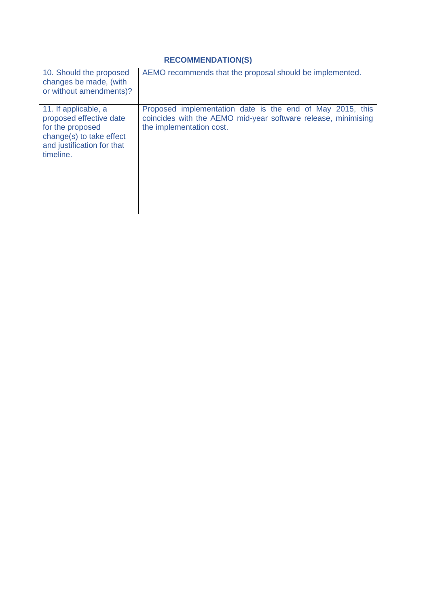| <b>RECOMMENDATION(S)</b>                                                                                                                   |                                                                                                                                                        |  |
|--------------------------------------------------------------------------------------------------------------------------------------------|--------------------------------------------------------------------------------------------------------------------------------------------------------|--|
| 10. Should the proposed<br>changes be made, (with<br>or without amendments)?                                                               | AEMO recommends that the proposal should be implemented.                                                                                               |  |
| 11. If applicable, a<br>proposed effective date<br>for the proposed<br>change(s) to take effect<br>and justification for that<br>timeline. | Proposed implementation date is the end of May 2015, this<br>coincides with the AEMO mid-year software release, minimising<br>the implementation cost. |  |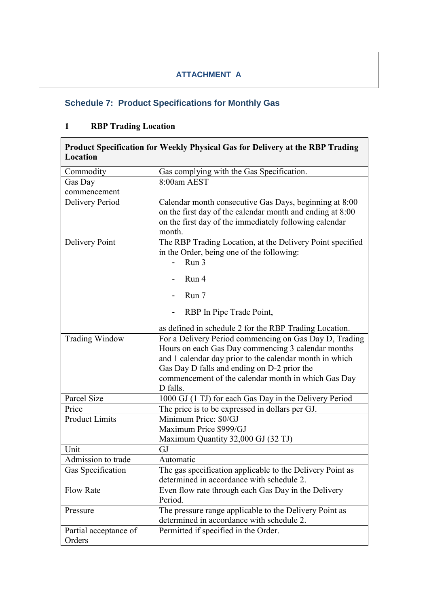### **ATTACHMENT A**

## **Schedule 7: Product Specifications for Monthly Gas**

## **1 RBP Trading Location**

| Location                        | Product Specification for Weekly Physical Gas for Delivery at the RBP Trading                                                                                                                                                                                                                                                                       |
|---------------------------------|-----------------------------------------------------------------------------------------------------------------------------------------------------------------------------------------------------------------------------------------------------------------------------------------------------------------------------------------------------|
| Commodity                       | Gas complying with the Gas Specification.                                                                                                                                                                                                                                                                                                           |
| Gas Day<br>commencement         | 8:00am AEST                                                                                                                                                                                                                                                                                                                                         |
| Delivery Period                 | Calendar month consecutive Gas Days, beginning at 8:00<br>on the first day of the calendar month and ending at 8:00<br>on the first day of the immediately following calendar<br>month.                                                                                                                                                             |
| Delivery Point                  | The RBP Trading Location, at the Delivery Point specified<br>in the Order, being one of the following:<br>Run 3                                                                                                                                                                                                                                     |
|                                 | Run 4                                                                                                                                                                                                                                                                                                                                               |
|                                 | Run 7                                                                                                                                                                                                                                                                                                                                               |
|                                 | RBP In Pipe Trade Point,                                                                                                                                                                                                                                                                                                                            |
| <b>Trading Window</b>           | as defined in schedule 2 for the RBP Trading Location.<br>For a Delivery Period commencing on Gas Day D, Trading<br>Hours on each Gas Day commencing 3 calendar months<br>and 1 calendar day prior to the calendar month in which<br>Gas Day D falls and ending on D-2 prior the<br>commencement of the calendar month in which Gas Day<br>D falls. |
| Parcel Size                     | 1000 GJ (1 TJ) for each Gas Day in the Delivery Period                                                                                                                                                                                                                                                                                              |
| Price                           | The price is to be expressed in dollars per GJ.                                                                                                                                                                                                                                                                                                     |
| <b>Product Limits</b>           | Minimum Price: \$0/GJ<br>Maximum Price \$999/GJ<br>Maximum Quantity 32,000 GJ (32 TJ)                                                                                                                                                                                                                                                               |
| Unit                            | GJ                                                                                                                                                                                                                                                                                                                                                  |
| Admission to trade              | Automatic                                                                                                                                                                                                                                                                                                                                           |
| Gas Specification               | The gas specification applicable to the Delivery Point as<br>determined in accordance with schedule 2.                                                                                                                                                                                                                                              |
| <b>Flow Rate</b>                | Even flow rate through each Gas Day in the Delivery<br>Period.                                                                                                                                                                                                                                                                                      |
| Pressure                        | The pressure range applicable to the Delivery Point as<br>determined in accordance with schedule 2.                                                                                                                                                                                                                                                 |
| Partial acceptance of<br>Orders | Permitted if specified in the Order.                                                                                                                                                                                                                                                                                                                |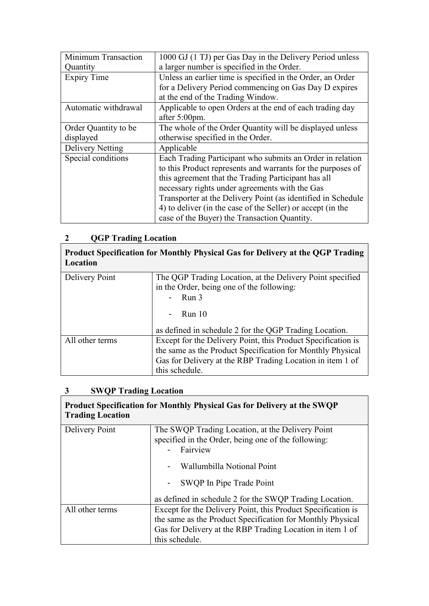| Minimum Transaction     | 1000 GJ (1 TJ) per Gas Day in the Delivery Period unless     |
|-------------------------|--------------------------------------------------------------|
| Quantity                | a larger number is specified in the Order.                   |
| <b>Expiry Time</b>      | Unless an earlier time is specified in the Order, an Order   |
|                         | for a Delivery Period commencing on Gas Day D expires        |
|                         | at the end of the Trading Window.                            |
| Automatic withdrawal    | Applicable to open Orders at the end of each trading day     |
|                         | after 5:00pm.                                                |
| Order Quantity to be    | The whole of the Order Quantity will be displayed unless     |
| displayed               | otherwise specified in the Order.                            |
| <b>Delivery Netting</b> | Applicable                                                   |
| Special conditions      | Each Trading Participant who submits an Order in relation    |
|                         | to this Product represents and warrants for the purposes of  |
|                         | this agreement that the Trading Participant has all          |
|                         | necessary rights under agreements with the Gas               |
|                         | Transporter at the Delivery Point (as identified in Schedule |
|                         | 4) to deliver (in the case of the Seller) or accept (in the  |
|                         | case of the Buyer) the Transaction Quantity.                 |

# **2 QGP Trading Location**

| Location        | Product Specification for Monthly Physical Gas for Delivery at the QGP Trading                         |
|-----------------|--------------------------------------------------------------------------------------------------------|
| Delivery Point  | The QGP Trading Location, at the Delivery Point specified<br>in the Order, being one of the following: |
|                 | Run 3                                                                                                  |
|                 | <b>Run</b> 10                                                                                          |
|                 | as defined in schedule 2 for the QGP Trading Location.                                                 |
| All other terms | Except for the Delivery Point, this Product Specification is                                           |
|                 | the same as the Product Specification for Monthly Physical                                             |
|                 | Gas for Delivery at the RBP Trading Location in item 1 of                                              |
|                 | this schedule.                                                                                         |

h

## **3 SWQP Trading Location**

| <b>Trading Location</b> | Product Specification for Monthly Physical Gas for Delivery at the SWQP                                             |
|-------------------------|---------------------------------------------------------------------------------------------------------------------|
| Delivery Point          | The SWQP Trading Location, at the Delivery Point<br>specified in the Order, being one of the following:<br>Fairview |
|                         | Wallumbilla Notional Point                                                                                          |
|                         | - SWQP In Pipe Trade Point                                                                                          |
|                         | as defined in schedule 2 for the SWQP Trading Location.                                                             |
| All other terms         | Except for the Delivery Point, this Product Specification is                                                        |
|                         | the same as the Product Specification for Monthly Physical                                                          |
|                         | Gas for Delivery at the RBP Trading Location in item 1 of                                                           |
|                         | this schedule.                                                                                                      |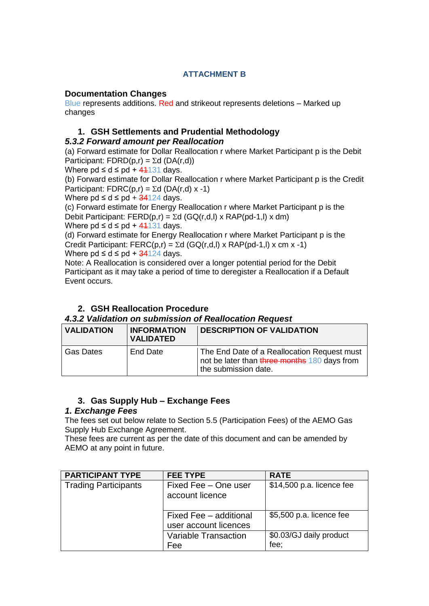#### **ATTACHMENT B**

#### **Documentation Changes**

Blue represents additions. Red and strikeout represents deletions – Marked up changes

#### **1. GSH Settlements and Prudential Methodology**

#### *5.3.2 Forward amount per Reallocation*

(a) Forward estimate for Dollar Reallocation r where Market Participant p is the Debit Participant:  $FDRD(p,r) = \Sigma d (DA(r,d))$ 

Where  $pd \leq d \leq pd + 41131$  days.

(b) Forward estimate for Dollar Reallocation r where Market Participant p is the Credit Participant: FDRC(p,r) =  $\Sigma$ d (DA(r,d) x -1)

Where  $pd \leq d \leq pd + \frac{34124}{4}$  days.

(c) Forward estimate for Energy Reallocation r where Market Participant p is the Debit Participant: FERD(p,r) =  $\Sigma d$  (GQ(r,d,l) x RAP(pd-1,l) x dm) Where  $\text{pd} \leq \text{d} \leq \text{pd} + 41131 \text{ days}.$ 

(d) Forward estimate for Energy Reallocation r where Market Participant p is the Credit Participant: FERC(p,r) =  $\Sigma$ d (GQ(r,d,l) x RAP(pd-1,l) x cm x -1) Where  $\text{pd} \leq \text{d} \leq \text{pd} + \frac{34124}{4}$  days.

Note: A Reallocation is considered over a longer potential period for the Debit Participant as it may take a period of time to deregister a Reallocation if a Default Event occurs.

### **2. GSH Reallocation Procedure**

#### *4.3.2 Validation on submission of Reallocation Request*

| <b>VALIDATION</b> | <b>INFORMATION</b><br><b>VALIDATED</b> | <b>DESCRIPTION OF VALIDATION</b>                                                                                    |
|-------------------|----------------------------------------|---------------------------------------------------------------------------------------------------------------------|
| l Gas Dates       | End Date                               | The End Date of a Reallocation Request must<br>not be later than three months 180 days from<br>the submission date. |

### **3. Gas Supply Hub – Exchange Fees**

#### *1. Exchange Fees*

The fees set out below relate to Section 5.5 (Participation Fees) of the AEMO Gas Supply Hub Exchange Agreement.

These fees are current as per the date of this document and can be amended by AEMO at any point in future.

| <b>PARTICIPANT TYPE</b>     | <b>FEE TYPE</b>                         | <b>RATE</b>               |
|-----------------------------|-----------------------------------------|---------------------------|
| <b>Trading Participants</b> | Fixed Fee - One user<br>account licence | \$14,500 p.a. licence fee |
|                             | Fixed Fee - additional                  | \$5,500 p.a. licence fee  |
|                             | user account licences                   |                           |
|                             | Variable Transaction                    | \$0.03/GJ daily product   |
|                             | Fee                                     | fee;                      |